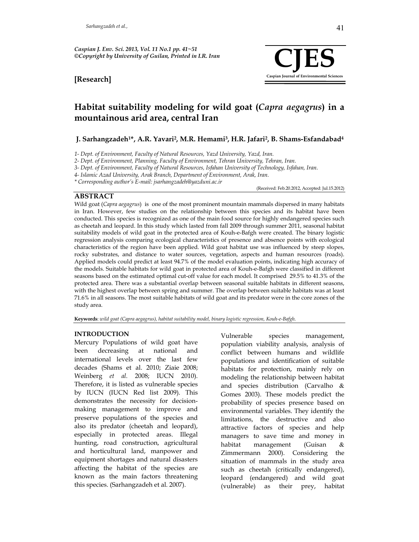



(Received: Feb.20.2012, Accepted: Jul.15.2012)

# **Habitat suitability modeling for wild goat (***Capra aegagrus***) in a mountainous arid area, central Iran**

#### **J. Sarhangzadeh1\*, A.R. Yavari2, M.R. Hemami3, H.R. Jafari2, B. Shams-Esfandabad4**

*1- Dept. of Environment, Faculty of Natural Resources, Yazd University, Yazd, Iran.* 

*2- Dept. of Environment, Planning, Faculty of Environment, Tehran University, Tehran, Iran.* 

*3- Dept. of Environment, Faculty of Natural Resources, Isfahan University of Technology, Isfahan, Iran.* 

*4- Islamic Azad University, Arak Branch, Department of Environment, Arak, Iran.*

*\* Corresponding author's E-mail: jsarhangzadeh@yazduni.ac.ir* 

# **ABSTRACT**

Wild goat (*Capra aegagrus*) is one of the most prominent mountain mammals dispersed in many habitats in Iran. However, few studies on the relationship between this species and its habitat have been conducted. This species is recognized as one of the main food source for highly endangered species such as cheetah and leopard. In this study which lasted from fall 2009 through summer 2011, seasonal habitat suitability models of wild goat in the protected area of Kouh-e-Bafgh were created. The binary logistic regression analysis comparing ecological characteristics of presence and absence points with ecological characteristics of the region have been applied. Wild goat habitat use was influenced by steep slopes, rocky substrates, and distance to water sources, vegetation, aspects and human resources (roads). Applied models could predict at least 94.7% of the model evaluation points, indicating high accuracy of the models. Suitable habitats for wild goat in protected area of Kouh-e-Bafgh were classified in different seasons based on the estimated optimal cut-off value for each model. It comprised 29.5% to 41.3% of the protected area. There was a substantial overlap between seasonal suitable habitats in different seasons, with the highest overlap between spring and summer. The overlap between suitable habitats was at least 71.6% in all seasons. The most suitable habitats of wild goat and its predator were in the core zones of the study area.

**Keywords**: *wild goat (Capra aegagrus), habitat suitability model, binary logistic regression, Kouh-e-Bafgh.* 

#### **INTRODUCTION**

Mercury Populations of wild goat have been decreasing at national and international levels over the last few decades (Shams et al. 2010; Ziaie 2008; Weinberg *et al.* 2008; IUCN 2010). Therefore, it is listed as vulnerable species by IUCN (IUCN Red list 2009). This demonstrates the necessity for decisionmaking management to improve and preserve populations of the species and also its predator (cheetah and leopard), especially in protected areas. Illegal hunting, road construction, agricultural and horticultural land, manpower and equipment shortages and natural disasters affecting the habitat of the species are known as the main factors threatening this species. (Sarhangzadeh et al. 2007).

Vulnerable species management, population viability analysis, analysis of conflict between humans and wildlife populations and identification of suitable habitats for protection, mainly rely on modeling the relationship between habitat and species distribution (Carvalho & Gomes 2003). These models predict the probability of species presence based on environmental variables. They identify the limitations, the destructive and also attractive factors of species and help managers to save time and money in habitat management (Guisan & Zimmermann 2000). Considering the situation of mammals in the study area such as cheetah (critically endangered), leopard (endangered) and wild goat (vulnerable) as their prey, habitat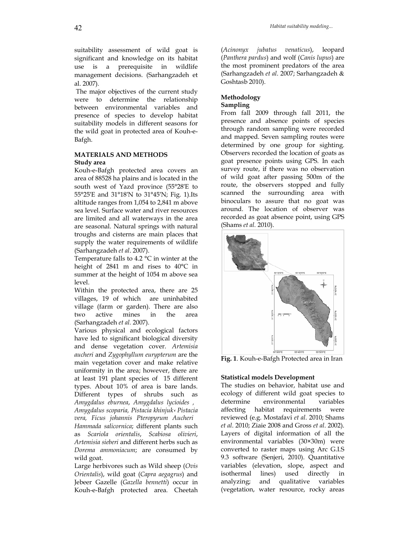suitability assessment of wild goat is significant and knowledge on its habitat use is a prerequisite in wildlife management decisions. (Sarhangzadeh et al. 2007).

 The major objectives of the current study were to determine the relationship between environmental variables and presence of species to develop habitat suitability models in different seasons for the wild goat in protected area of Kouh-e-Bafgh.

# **MATERIALS AND METHODS Study area**

Kouh-e-Bafgh protected area covers an area of 88528 ha plains and is located in the south west of Yazd province (55°28′E to 55°25′E and 31°18′N to 31°45′N; Fig. 1).Its altitude ranges from 1,054 to 2,841 m above sea level. Surface water and river resources are limited and all waterways in the area are seasonal. Natural springs with natural troughs and cisterns are main places that supply the water requirements of wildlife (Sarhangzadeh *et al*. 2007).

Temperature falls to 4.2 °C in winter at the height of 2841 m and rises to 40°C in summer at the height of 1054 m above sea level.

Within the protected area, there are 25 villages, 19 of which are uninhabited village (farm or garden). There are also two active mines in the area (Sarhangzadeh *et al.* 2007).

Various physical and ecological factors have led to significant biological diversity and dense vegetation cover. *Artemisia aucheri* and *Zygophyllum eurypterum* are the main vegetation cover and make relative uniformity in the area; however, there are at least 191 plant species of 15 different types. About 10% of area is bare lands. Different types of shrubs such as *Amygdalus eburnea*, *Amygdalus lycioides , Amygdalus scoparia, Pistacia khinjuk*، *Pistacia vera, Ficus johannis Pteropyrum Aucheri Hammada salicornica*; different plants such as *Scariola orientalis*, *Scabiosa olivieri*, *Artemisia sieberi* and different herbs such as *Dorema ammoniacum*; are consumed by wild goat.

Large herbivores such as Wild sheep (*Ovis Orientalis*), wild goat (*Capra aegagrus*) and Jebeer Gazelle (*Gazella bennetti*) occur in Kouh-e-Bafgh protected area. Cheetah (*Acinonyx jubatus venaticus*), leopard (*Panthera pardus*) and wolf (*Canis lupus*) are the most prominent predators of the area (Sarhangzadeh *et al*. 2007; Sarhangzadeh & Goshtasb 2010).

#### **Methodology Sampling**

From fall 2009 through fall 2011, the presence and absence points of species through random sampling were recorded and mapped. Seven sampling routes were determined by one group for sighting. Observers recorded the location of goats as goat presence points using GPS. In each survey route, if there was no observation of wild goat after passing 500m of the route, the observers stopped and fully scanned the surrounding area with binoculars to assure that no goat was around. The location of observer was recorded as goat absence point, using GPS (Shams *et al.* 2010).



**Fig. 1**. Kouh-e-Bafgh Protected area in Iran

#### **Statistical models Development**

The studies on behavior, habitat use and ecology of different wild goat species to determine environmental variables affecting habitat requirements were reviewed (e.g. Mostafavi *et al*. 2010; Shams *et al*. 2010; Ziaie 2008 and Gross *et al*. 2002). Layers of digital information of all the environmental variables (30×30m) were converted to raster maps using Arc G.I.S 9.3 software (Senjeri, 2010). Quantitative variables (elevation, slope, aspect and isothermal lines) used directly in analyzing; and qualitative variables (vegetation, water resource, rocky areas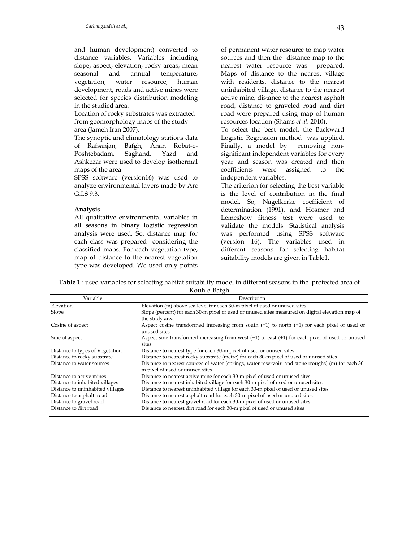and human development) converted to distance variables. Variables including slope, aspect, elevation, rocky areas, mean seasonal and annual temperature, vegetation, water resource, human development, roads and active mines were selected for species distribution modeling in the studied area.

Location of rocky substrates was extracted from geomorphology maps of the study area (Jameh Iran 2007).

The synoptic and climatology stations data of Rafsanjan, Bafgh, Anar, Robat-e-Poshtebadam, Saghand, Yazd and Ashkezar were used to develop isothermal maps of the area.

SPSS software (version16) was used to analyze environmental layers made by Arc G.I.S 9.3.

#### **Analysis**

All qualitative environmental variables in all seasons in binary logistic regression analysis were used. So, distance map for each class was prepared considering the classified maps. For each vegetation type, map of distance to the nearest vegetation type was developed. We used only points of permanent water resource to map water sources and then the distance map to the nearest water resource was prepared. Maps of distance to the nearest village with residents, distance to the nearest uninhabited village, distance to the nearest active mine, distance to the nearest asphalt road, distance to graveled road and dirt road were prepared using map of human resources location (Shams *et al.* 2010).

To select the best model, the Backward Logistic Regression method was applied. Finally, a model by removing nonsignificant independent variables for every year and season was created and then coefficients were assigned to the independent variables.

The criterion for selecting the best variable is the level of contribution in the final model. So, Nagelkerke coefficient of determination (1991), and Hosmer and Lemeshow fitness test were used to validate the models. Statistical analysis was performed using SPSS software (version 16). The variables used in different seasons for selecting habitat suitability models are given in Table1.

**Table 1** : used variables for selecting habitat suitability model in different seasons in the protected area of Kouh-e-Bafgh

| Variable                         | Description                                                                                         |
|----------------------------------|-----------------------------------------------------------------------------------------------------|
| Elevation                        | Elevation (m) above sea level for each 30-m pixel of used or unused sites                           |
| Slope                            | Slope (percent) for each 30-m pixel of used or unused sites measured on digital elevation map of    |
|                                  | the study area                                                                                      |
| Cosine of aspect                 | Aspect cosine transformed increasing from south $(-1)$ to north $(+1)$ for each pixel of used or    |
|                                  | unused sites                                                                                        |
| Sine of aspect                   | Aspect sine transformed increasing from west $(-1)$ to east $(+1)$ for each pixel of used or unused |
|                                  | sites                                                                                               |
| Distance to types of Vegetation  | Distance to nearest type for each 30-m pixel of used or unused sites                                |
| Distance to rocky substrate      | Distance to nearest rocky substrate (metre) for each 30-m pixel of used or unused sites             |
| Distance to water sources        | Distance to nearest sources of water (springs, water reservoir and stone troughs) (m) for each 30-  |
|                                  | m pixel of used or unused sites                                                                     |
| Distance to active mines         | Distance to nearest active mine for each 30-m pixel of used or unused sites                         |
| Distance to inhabited villages   | Distance to nearest inhabited village for each 30-m pixel of used or unused sites                   |
| Distance to uninhabited villages | Distance to nearest uninhabited village for each 30-m pixel of used or unused sites                 |
| Distance to asphalt road         | Distance to nearest asphalt road for each 30-m pixel of used or unused sites                        |
| Distance to gravel road          | Distance to nearest gravel road for each 30-m pixel of used or unused sites                         |
| Distance to dirt road            | Distance to nearest dirt road for each 30-m pixel of used or unused sites                           |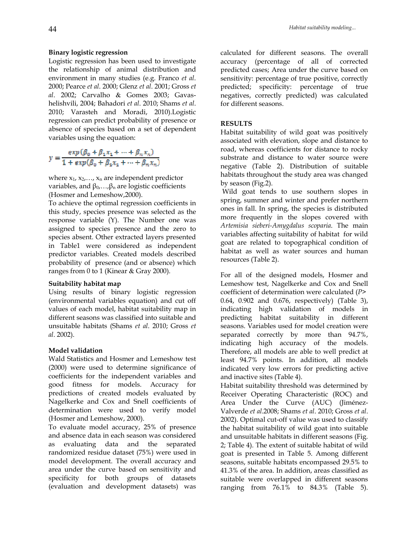#### **Binary logistic regression**

Logistic regression has been used to investigate the relationship of animal distribution and environment in many studies (e.g. Franco *et al*. 2000; Pearce *et al*. 2000; Glenz *et al*. 2001; Gross *et al*. 2002; Carvalho & Gomes 2003; Gavashelishvili, 2004; Bahadori *et al*. 2010; Shams *et al*. 2010; Varasteh and Moradi, 2010).Logistic regression can predict probability of presence or absence of species based on a set of dependent variables using the equation:

$$
y = \frac{\exp(\beta_0 + \beta_1 x_1 + \dots + \beta_n x_n)}{1 + \exp(\beta_0 + \beta_1 x_1 + \dots + \beta_n x_n)}
$$

where  $x_1, x_2, \ldots, x_n$  are independent predictor variables, and  $β_0$ ,..., $β_n$  are logistic coefficients (Hosmer and Lemeshow,2000).

To achieve the optimal regression coefficients in this study, species presence was selected as the response variable (Y). The Number one was assigned to species presence and the zero to species absent. Other extracted layers presented in Table1 were considered as independent predictor variables. Created models described probability of presence (and or absence) which ranges from 0 to 1 (Kinear & Gray 2000).

#### **Suitability habitat map**

Using results of binary logistic regression (environmental variables equation) and cut off values of each model, habitat suitability map in different seasons was classified into suitable and unsuitable habitats (Shams *et al*. 2010; Gross *et al*. 2002).

#### **Model validation**

Wald Statistics and Hosmer and Lemeshow test (2000) were used to determine significance of coefficients for the independent variables and good fitness for models. Accuracy for predictions of created models evaluated by Nagelkerke and Cox and Snell coefficients of determination were used to verify model (Hosmer and Lemeshow, 2000).

To evaluate model accuracy, 25% of presence and absence data in each season was considered as evaluating data and the separated randomized residue dataset (75%) were used in model development. The overall accuracy and area under the curve based on sensitivity and specificity for both groups of datasets (evaluation and development datasets) was calculated for different seasons. The overall accuracy (percentage of all of corrected predicted cases; Area under the curve based on sensitivity: percentage of true positive, correctly predicted; specificity: percentage of true negatives, correctly predicted) was calculated for different seasons.

# **RESULTS**

Habitat suitability of wild goat was positively associated with elevation, slope and distance to road, whereas coefficients for distance to rocky substrate and distance to water source were negative (Table 2). Distribution of suitable habitats throughout the study area was changed by season (Fig.2).

 Wild goat tends to use southern slopes in spring, summer and winter and prefer northern ones in fall. In spring, the species is distributed more frequently in the slopes covered with *Artemisia sieberi-Amygdalus scoparia*. The main variables affecting suitability of habitat for wild goat are related to topographical condition of habitat as well as water sources and human resources (Table 2).

For all of the designed models, Hosmer and Lemeshow test, Nagelkerke and Cox and Snell coefficient of determination were calculated (*P>* 0.64, 0.902 and 0.676, respectively) (Table 3), indicating high validation of models in predicting habitat suitability in different seasons. Variables used for model creation were separated correctly by more than 94.7%, indicating high accuracy of the models. Therefore, all models are able to well predict at least 94.7% points. In addition, all models indicated very low errors for predicting active and inactive sites (Table 4).

Habitat suitability threshold was determined by Receiver Operating Characteristic (ROC) and Area Under the Curve (AUC) (Jiménez-Valverde *et al*.2008; Shams *et al*. 2010; Gross *et al*. 2002). Optimal cut-off value was used to classify the habitat suitability of wild goat into suitable and unsuitable habitats in different seasons (Fig. 2; Table 4). The extent of suitable habitat of wild goat is presented in Table 5. Among different seasons, suitable habitats encompassed 29.5% to 41.3% of the area. In addition, areas classified as suitable were overlapped in different seasons ranging from 76.1% to 84.3% (Table 5).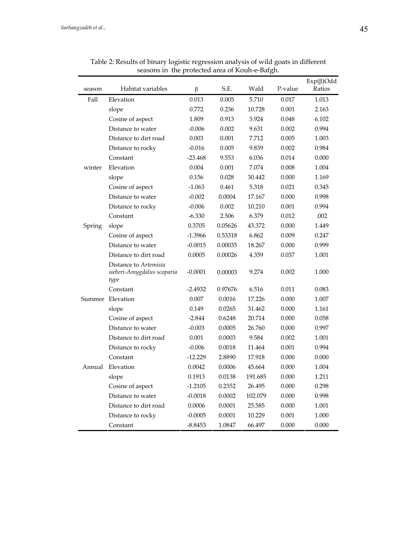| season | Habitat variables                                           | β         | S.E.    | Wald    | P-value | $Exp(\beta)$ Odd<br>Ratios |
|--------|-------------------------------------------------------------|-----------|---------|---------|---------|----------------------------|
| Fall   | Elevation                                                   | 0.013     | 0.005   | 5.710   | 0.017   | 1.013                      |
|        | slope                                                       | 0.772     | 0.236   | 10.728  | 0.001   | 2.163                      |
|        | Cosine of aspect                                            | 1.809     | 0.913   | 3.924   | 0.048   | 6.102                      |
|        | Distance to water                                           | $-0.006$  | 0.002   | 9.631   | 0.002   | 0.994                      |
|        | Distance to dirt road                                       | 0.003     | 0.001   | 7.712   | 0.005   | 1.003                      |
|        | Distance to rocky                                           | $-0.016$  | 0.005   | 9.839   | 0.002   | 0.984                      |
|        | Constant                                                    | $-23.468$ | 9.553   | 6.036   | 0.014   | 0.000                      |
| winter | Elevation                                                   | 0.004     | 0.001   | 7.074   | 0.008   | 1.004                      |
|        | slope                                                       | 0.156     | 0.028   | 30.442  | 0.000   | 1.169                      |
|        | Cosine of aspect                                            | $-1.063$  | 0.461   | 5.318   | 0.021   | 0.345                      |
|        | Distance to water                                           | $-0.002$  | 0.0004  | 17.167  | 0.000   | 0.998                      |
|        | Distance to rocky                                           | $-0.006$  | 0.002   | 10.210  | 0.001   | 0.994                      |
|        | Constant                                                    | $-6.330$  | 2.506   | 6.379   | 0.012   | .002                       |
| Spring | slope                                                       | 0.3705    | 0.05626 | 43.372  | 0.000   | 1.449                      |
|        | Cosine of aspect                                            | $-1.3966$ | 0.53318 | 6.862   | 0.009   | 0.247                      |
|        | Distance to water                                           | $-0.0015$ | 0.00035 | 18.267  | 0.000   | 0.999                      |
|        | Distance to dirt road                                       | 0.0005    | 0.00026 | 4.359   | 0.037   | 1.001                      |
|        | Distance to Artemisia<br>sieberi-Amygdalus scoparia<br>type | $-0.0001$ | 0.00003 | 9.274   | 0.002   | 1.000                      |
|        | Constant                                                    | $-2.4932$ | 0.97676 | 6.516   | 0.011   | 0.083                      |
|        | Summer Elevation                                            | 0.007     | 0.0016  | 17.226  | 0.000   | 1.007                      |
|        | slope                                                       | 0.149     | 0.0265  | 31.462  | 0.000   | 1.161                      |
|        | Cosine of aspect                                            | $-2.844$  | 0.6248  | 20.714  | 0.000   | 0.058                      |
|        | Distance to water                                           | $-0.003$  | 0.0005  | 26.760  | 0.000   | 0.997                      |
|        | Distance to dirt road                                       | 0.001     | 0.0003  | 9.584   | 0.002   | 1.001                      |
|        | Distance to rocky                                           | $-0.006$  | 0.0018  | 11.464  | 0.001   | 0.994                      |
|        | Constant                                                    | $-12.229$ | 2.8890  | 17.918  | 0.000   | 0.000                      |
| Annual | Elevation                                                   | 0.0042    | 0.0006  | 45.664  | 0.000   | 1.004                      |
|        | slope                                                       | 0.1913    | 0.0138  | 191.685 | 0.000   | 1.211                      |
|        | Cosine of aspect                                            | $-1.2105$ | 0.2352  | 26.495  | 0.000   | 0.298                      |
|        | Distance to water                                           | $-0.0018$ | 0.0002  | 102.079 | 0.000   | 0.998                      |
|        | Distance to dirt road                                       | 0.0006    | 0.0001  | 25.585  | 0.000   | 1.001                      |
|        | Distance to rocky                                           | $-0.0005$ | 0.0001  | 10.229  | 0.001   | 1.000                      |
|        | Constant                                                    | -8.8453   | 1.0847  | 66.497  | 0.000   | 0.000                      |

Table 2: Results of binary logistic regression analysis of wild goats in different seasons in the protected area of Kouh-e-Bafgh.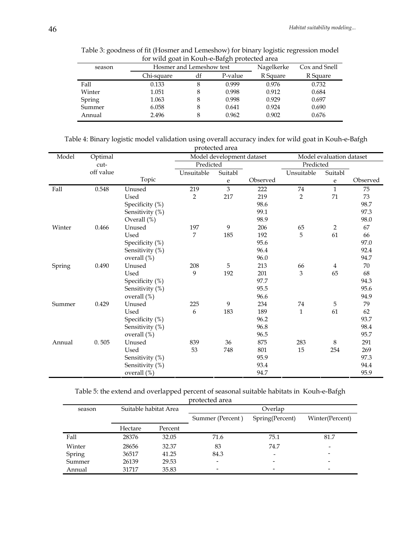| season | Hosmer and Lemeshow test |    |         | Nagelkerke | Cox and Snell |
|--------|--------------------------|----|---------|------------|---------------|
|        | Chi-square               | df | P-value | R Square   | R Square      |
| Fall   | 0.133                    | 8  | 0.999   | 0.976      | 0.732         |
| Winter | 1.051                    | 8  | 0.998   | 0.912      | 0.684         |
| Spring | 1.063                    | 8  | 0.998   | 0.929      | 0.697         |
| Summer | 6.058                    | 8  | 0.641   | 0.924      | 0.690         |
| Annual | 2.496                    | 8  | 0.962   | 0.902      | 0.676         |

Table 3: goodness of fit (Hosmer and Lemeshow) for binary logistic regression model for wild goat in Kouh-e-Bafgh protected area

Table 4: Binary logistic model validation using overall accuracy index for wild goat in Kouh-e-Bafgh protected area

| Aoiceicu aica |           |                 |                           |         |           |                          |                |          |
|---------------|-----------|-----------------|---------------------------|---------|-----------|--------------------------|----------------|----------|
| Model         | Optimal   |                 | Model development dataset |         |           | Model evaluation dataset |                |          |
|               | cut-      |                 | Predicted                 |         | Predicted |                          |                |          |
|               | off value |                 | Unsuitable                | Suitabl |           | Unsuitable               | Suitabl        |          |
|               |           | Topic           |                           | e       | Observed  |                          | e              | Observed |
| Fall          | 0.548     | Unused          | 219                       | 3       | 222       | 74                       | $\mathbf{1}$   | 75       |
|               |           | Used            | $\overline{2}$            | 217     | 219       | $\overline{2}$           | 71             | 73       |
|               |           | Specificity (%) |                           |         | 98.6      |                          |                | 98.7     |
|               |           | Sensitivity (%) |                           |         | 99.1      |                          |                | 97.3     |
|               |           | Overall (%)     |                           |         | 98.9      |                          |                | 98.0     |
| Winter        | 0.466     | Unused          | 197                       | 9       | 206       | 65                       | $\overline{2}$ | 67       |
|               |           | Used            | 7                         | 185     | 192       | 5                        | 61             | 66       |
|               |           | Specificity (%) |                           |         | 95.6      |                          |                | 97.0     |
|               |           | Sensitivity (%) |                           |         | 96.4      |                          |                | 92.4     |
|               |           | overall (%)     |                           |         | 96.0      |                          |                | 94.7     |
| Spring        | 0.490     | Unused          | 208                       | 5       | 213       | 66                       | $\overline{4}$ | 70       |
|               |           | Used            | 9                         | 192     | 201       | 3                        | 65             | 68       |
|               |           | Specificity (%) |                           |         | 97.7      |                          |                | 94.3     |
|               |           | Sensitivity (%) |                           |         | 95.5      |                          |                | 95.6     |
|               |           | overall (%)     |                           |         | 96.6      |                          |                | 94.9     |
| Summer        | 0.429     | Unused          | 225                       | 9       | 234       | 74                       | 5              | 79       |
|               |           | Used            | 6                         | 183     | 189       | $\mathbf{1}$             | 61             | 62       |
|               |           | Specificity (%) |                           |         | 96.2      |                          |                | 93.7     |
|               |           | Sensitivity (%) |                           |         | 96.8      |                          |                | 98.4     |
|               |           | overall (%)     |                           |         | 96.5      |                          |                | 95.7     |
| Annual        | 0.505     | Unused          | 839                       | 36      | 875       | 283                      | 8              | 291      |
|               |           | Used            | 53                        | 748     | 801       | 15                       | 254            | 269      |
|               |           | Sensitivity (%) |                           |         | 95.9      |                          |                | 97.3     |
|               |           | Sensitivity (%) |                           |         | 93.4      |                          |                | 94.4     |
|               |           | overall (%)     |                           |         | 94.7      |                          |                | 95.9     |

Table 5: the extend and overlapped percent of seasonal suitable habitats in Kouh-e-Bafgh

protected area

| season |         | Suitable habitat Area | Overlap                  |                          |                          |  |  |
|--------|---------|-----------------------|--------------------------|--------------------------|--------------------------|--|--|
|        |         |                       | Summer (Percent)         | Spring(Percent)          | Winter(Percent)          |  |  |
|        | Hectare | Percent               |                          |                          |                          |  |  |
| Fall   | 28376   | 32.05                 | 71.6                     | 75.1                     | 81.7                     |  |  |
| Winter | 28656   | 32.37                 | 83                       | 74.7                     | $\overline{\phantom{0}}$ |  |  |
| Spring | 36517   | 41.25                 | 84.3                     | $\overline{\phantom{0}}$ |                          |  |  |
| Summer | 26139   | 29.53                 | $\overline{\phantom{0}}$ |                          |                          |  |  |
| Annual | 31717   | 35.83                 | -                        |                          | $\overline{\phantom{a}}$ |  |  |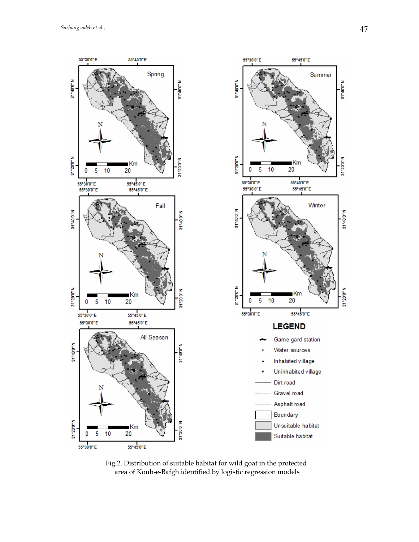

Fig.2. Distribution of suitable habitat for wild goat in the protected area of Kouh-e-Bafgh identified by logistic regression models

31°20'0'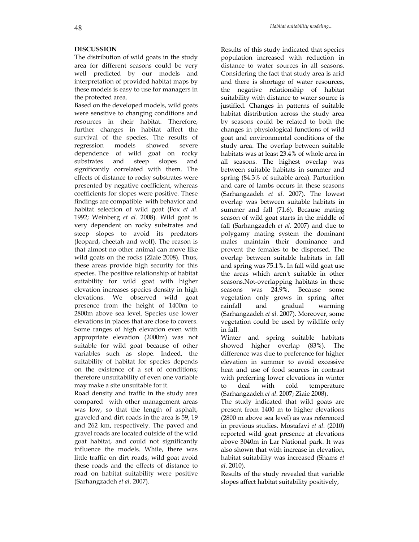# **DISCUSSION**

The distribution of wild goats in the study area for different seasons could be very well predicted by our models and interpretation of provided habitat maps by these models is easy to use for managers in the protected area.

Based on the developed models, wild goats were sensitive to changing conditions and resources in their habitat. Therefore, further changes in habitat affect the survival of the species. The results of regression models showed severe dependence of wild goat on rocky substrates and steep slopes and significantly correlated with them. The effects of distance to rocky substrates were presented by negative coefficient, whereas coefficients for slopes were positive. These findings are compatible with behavior and habitat selection of wild goat (Fox *et al*. 1992; Weinberg *et al.* 2008). Wild goat is very dependent on rocky substrates and steep slopes to avoid its predators (leopard, cheetah and wolf). The reason is that almost no other animal can move like wild goats on the rocks (Ziaie 2008). Thus, these areas provide high security for this species. The positive relationship of habitat suitability for wild goat with higher elevation increases species density in high elevations. We observed wild goat presence from the height of 1400m to 2800m above sea level. Species use lower elevations in places that are close to covers. Some ranges of high elevation even with appropriate elevation (2000m) was not suitable for wild goat because of other variables such as slope. Indeed, the suitability of habitat for species depends on the existence of a set of conditions; therefore unsuitability of even one variable may make a site unsuitable for it.

Road density and traffic in the study area compared with other management areas was low, so that the length of asphalt, graveled and dirt roads in the area is 59, 19 and 262 km, respectively. The paved and gravel roads are located outside of the wild goat habitat, and could not significantly influence the models. While, there was little traffic on dirt roads, wild goat avoid these roads and the effects of distance to road on habitat suitability were positive (Sarhangzadeh *et al*. 2007).

Results of this study indicated that species population increased with reduction in distance to water sources in all seasons. Considering the fact that study area is arid and there is shortage of water resources, the negative relationship of habitat suitability with distance to water source is justified. Changes in patterns of suitable habitat distribution across the study area by seasons could be related to both the changes in physiological functions of wild goat and environmental conditions of the study area. The overlap between suitable habitats was at least 23.4% of whole area in all seasons. The highest overlap was between suitable habitats in summer and spring (84.3% of suitable area). Parturition and care of lambs occurs in these seasons (Sarhangzadeh *et al.* 2007). The lowest overlap was between suitable habitats in summer and fall (71.6). Because mating season of wild goat starts in the middle of fall (Sarhangzadeh *et al.* 2007) and due to polygamy mating system the dominant males maintain their dominance and prevent the females to be dispersed. The overlap between suitable habitats in fall and spring was 75.1%. In fall wild goat use the areas which aren't suitable in other seasons.Not-overlapping habitats in these seasons was 24.9%, Because some vegetation only grows in spring after rainfall and gradual warming (Sarhangzadeh *et al*. 2007). Moreover, some vegetation could be used by wildlife only in fall.

Winter and spring suitable habitats showed higher overlap (83%). The difference was due to preference for higher elevation in summer to avoid excessive heat and use of food sources in contrast with preferring lower elevations in winter to deal with cold temperature (Sarhangzadeh *et al*. 2007; Ziaie 2008).

The study indicated that wild goats are present from 1400 m to higher elevations (2800 m above sea level) as was referenced in previous studies. Mostafavi *et al*. (2010) reported wild goat presence at elevations above 3040m in Lar National park. It was also shown that with increase in elevation, habitat suitability was increased (Shams *et al*. 2010).

Results of the study revealed that variable slopes affect habitat suitability positively,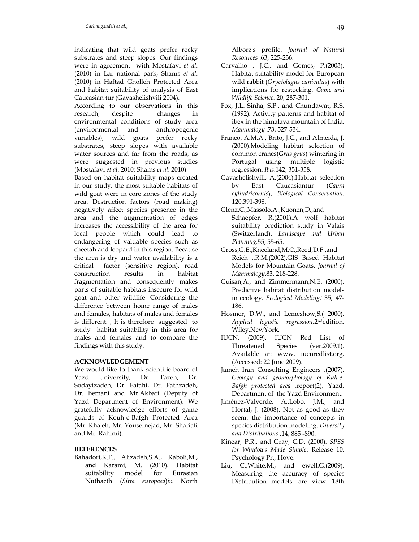indicating that wild goats prefer rocky substrates and steep slopes. Our findings were in agreement with Mostafavi *et al*. (2010) in Lar national park, Shams *et al*. (2010) in Haftad Gholleh Protected Area and habitat suitability of analysis of East Caucasian tur (Gavashelishvili 2004).

According to our observations in this research, despite changes in environmental conditions of study area (environmental and anthropogenic variables), wild goats prefer rocky substrates, steep slopes with available water sources and far from the roads, as were suggested in previous studies (Mostafavi *et al*. 2010; Shams *et al*. 2010).

Based on habitat suitability maps created in our study, the most suitable habitats of wild goat were in core zones of the study area. Destruction factors (road making) negatively affect species presence in the area and the augmentation of edges increases the accessibility of the area for local people which could lead to endangering of valuable species such as cheetah and leopard in this region. Because the area is dry and water availability is a critical factor (sensitive region), road construction results in habitat fragmentation and consequently makes parts of suitable habitats insecure for wild goat and other wildlife. Considering the difference between home range of males and females, habitats of males and females is different. , It is therefore suggested to study habitat suitability in this area for males and females and to compare the findings with this study.

# **ACKNOWLEDGEMENT**

We would like to thank scientific board of Yazd University; Dr. Tazeh, Dr. Sodayizadeh, Dr. Fatahi, Dr. Fathzadeh, Dr. Bemani and Mr.Akbari (Deputy of Yazd Department of Environment). We gratefully acknowledge efforts of game guards of Kouh-e-Bafgh Protected Area (Mr. Khajeh, Mr. Yousefnejad, Mr. Shariati and Mr. Rahimi).

# **REFERENCES**

Bahadori,K.F., Alizadeh,S.A., Kaboli,M., and Karami, M. (2010). Habitat suitability model for Eurasian Nuthacth (*Sitta europaea*)*in* North

Alborz's profile. *Journal of Natural Resources* .63, 225-236.

- Carvalho , J.C., and Gomes, P.(2003). Habitat suitability model for European wild rabbit (*Oryctolagus cuniculus*) with implications for restocking. *Game and Wildlife Science.* 20, 287-301.
- Fox, J.L. Sinha, S.P., and Chundawat, R.S. (1992). Activity patterns and habitat of ibex in the himalaya mountain of India. *Mammalogy* .73, 527-534.
- Franco, A.M.A., Brito, J.C., and Almeida, J. (2000).Modeling habitat selection of common cranes(*Grus grus*) wintering in Portugal using multiple logistic regression. *Ibis*.142, 351-358.
- Gavashelishvili, A.(2004).Habitat selection by East Caucasiantur (*Capra cylindricornis*). *Biological Conservation.*  120,391-398.
- Glenz,C.,Massolo,A.,Kuonen,D.,and Schaepfer, R.(2001).A wolf habitat suitability prediction study in Valais (Switzerland). *Landscape and Urban Planning.*55, 55-65.
- Gross,G.E.,Kneeland,M.C.,Reed,D.F.,and Reich ,.R.M.(2002).GIS Based Habitat Models for Mountain Goats. *Journal of Mammalogy*.83, 218-228.
- Guisan,A., and Zimmermann,N.E. (2000). Predictive habitat distribution models in ecology. *Ecological Modeling.*135,147- 186.
- Hosmer, D.W., and Lemeshow,S.( 2000). *Applied logistic regression*,2ndedition. Wiley,NewYork.
- IUCN. (2009). IUCN Red List of Threatened Species (ver.2009.1). Available at: www. iucnredlist.org. (Accessed: 22 June 2009).
- Jameh Iran Consulting Engineers .(2007). *Geology and geomorphology of Kuh-e-Bafgh protected area* .report(2), Yazd, Department of the Yazd Environment.
- Jiménez-Valverde, A.,Lobo, J.M., and Hortal, J. (2008). Not as good as they seem: the importance of concepts in species distribution modeling. *Diversity and Distributions* .14, 885 -890.
- Kinear, P.R., and Gray, C.D. (2000). *SPSS for Windows Made Simple*: Release 10. Psychology Pr., Hove.
- Liu, C.,White,M., and ewell,G.(2009). Measuring the accuracy of species Distribution models: are view. 18th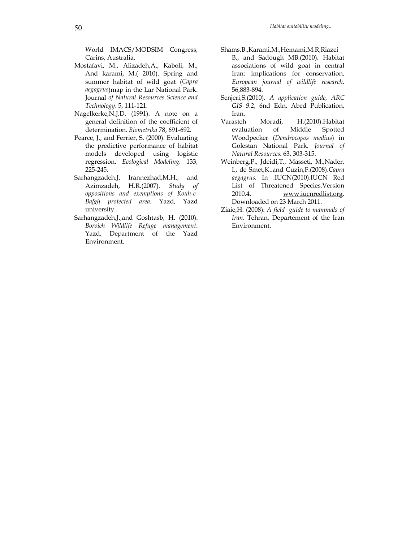World IMACS/MODSIM Congress, Carins, Australia.

- Mostafavi, M., Alizadeh,A., Kaboli, M., And karami, M.( 2010). Spring and summer habitat of wild goat (*Capra aegagrus*)map in the Lar National Park. Journal *of Natural Resources Science and Technology*. 5, 111-121.
- Nagelkerke,N.J.D. (1991). A note on a general definition of the coefficient of determination. *Biometrika* 78, 691-692.
- Pearce, J., and Ferrier, S. (2000). Evaluating the predictive performance of habitat models developed using logistic regression. *Ecological Modeling.* 133, 225-245.
- Sarhangzadeh,J, Irannezhad,M.H., and Azimzadeh, H.R.(2007). *Study of oppositions and exemptions of Kouh-e-Bafgh protected area*. Yazd, Yazd university.
- Sarhangzadeh,J.,and Goshtasb, H. (2010). *Boroieh Wildlife Refuge management*. Yazd, Department of the Yazd Environment.
- Shams,B.,Karami,M.,Hemami,M.R,Riazei B., and Sadough MB.(2010). Habitat associations of wild goat in central Iran: implications for conservation. *European journal of wildlife research*. 56,883-894.
- Senjeri,S.(2010). *A application guide, ARC GIS 9.2*, 6nd Edn. Abed Publication, Iran.
- Varasteh Moradi, H.(2010).Habitat evaluation of Middle Spotted Woodpecker (*Dendrocopos medius*) in Golestan National Park. *Journal of Natural Resources.* 63, 303-315.
- Weinberg,P., Jdeidi,T., Masseti, M.,Nader, I., de Smet,K..and Cuzin,F.(2008).*Capra aegagrus.* In :IUCN(2010).IUCN Red List of Threatened Species.Version 2010.4. www.iucnredlist.org. Downloaded on 23 March 2011.
- Ziaie,H. (2008). *A field guide to mammals of Iran*. Tehran, Departement of the Iran Environment.